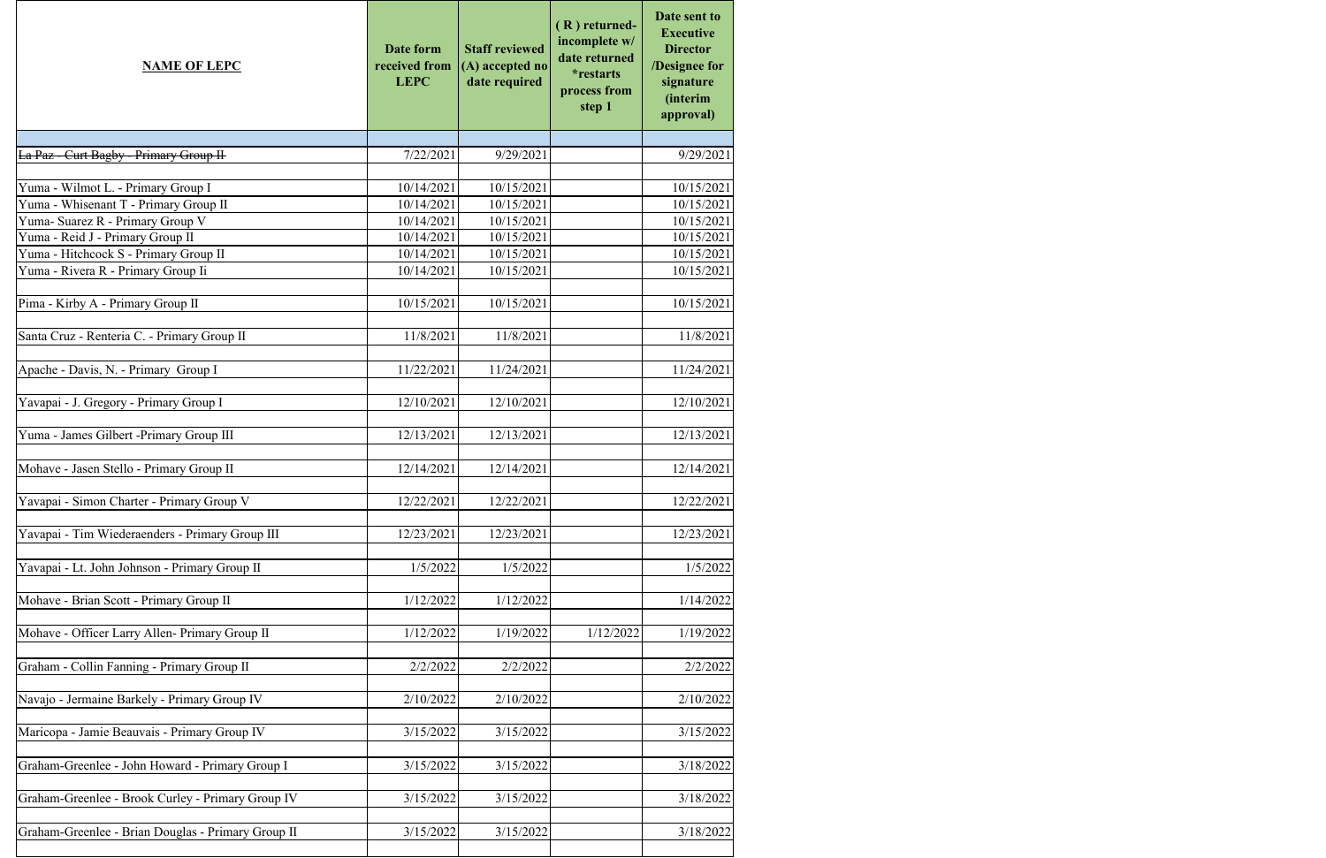| <b>NAME OF LEPC</b>                                | Date form<br>received from<br><b>LEPC</b> | <b>Staff reviewed</b><br>(A) accepted no<br>date required | (R) returned-<br>incomplete w/<br>date returned<br>*restarts<br>process from<br>step 1 | Date sent to<br><b>Executive</b><br><b>Director</b><br>/Designee for<br>signature<br>(interim<br>approval) |
|----------------------------------------------------|-------------------------------------------|-----------------------------------------------------------|----------------------------------------------------------------------------------------|------------------------------------------------------------------------------------------------------------|
|                                                    |                                           |                                                           |                                                                                        |                                                                                                            |
| La Paz - Curt Bagby - Primary Group II             | 7/22/2021                                 | 9/29/2021                                                 |                                                                                        | 9/29/2021                                                                                                  |
| Yuma - Wilmot L. - Primary Group I                 | 10/14/2021                                | 10/15/2021                                                |                                                                                        | 10/15/2021                                                                                                 |
| Yuma - Whisenant T - Primary Group II              | 10/14/2021                                | 10/15/2021                                                |                                                                                        | 10/15/2021                                                                                                 |
| Yuma- Suarez R - Primary Group V                   | 10/14/2021                                | 10/15/2021                                                |                                                                                        | 10/15/2021                                                                                                 |
| Yuma - Reid J - Primary Group II                   | 10/14/2021                                | 10/15/2021                                                |                                                                                        | 10/15/2021                                                                                                 |
| Yuma - Hitchcock S - Primary Group II              | 10/14/2021                                | 10/15/2021                                                |                                                                                        | 10/15/2021                                                                                                 |
| Yuma - Rivera R - Primary Group Ii                 | 10/14/2021                                | 10/15/2021                                                |                                                                                        | 10/15/2021                                                                                                 |
| Pima - Kirby A - Primary Group II                  | 10/15/2021                                | 10/15/2021                                                |                                                                                        | 10/15/2021                                                                                                 |
| Santa Cruz - Renteria C. - Primary Group II        | 11/8/2021                                 | 11/8/2021                                                 |                                                                                        | 11/8/2021                                                                                                  |
| Apache - Davis, N. - Primary Group I               | 11/22/2021                                | 11/24/2021                                                |                                                                                        | 11/24/2021                                                                                                 |
|                                                    |                                           |                                                           |                                                                                        |                                                                                                            |
| Yavapai - J. Gregory - Primary Group I             | 12/10/2021                                | 12/10/2021                                                |                                                                                        | 12/10/2021                                                                                                 |
| Yuma - James Gilbert -Primary Group III            | 12/13/2021                                | 12/13/2021                                                |                                                                                        | 12/13/2021                                                                                                 |
| Mohave - Jasen Stello - Primary Group II           | 12/14/2021                                | 12/14/2021                                                |                                                                                        | 12/14/2021                                                                                                 |
| Yavapai - Simon Charter - Primary Group V          | 12/22/2021                                | 12/22/2021                                                |                                                                                        | 12/22/2021                                                                                                 |
| Yavapai - Tim Wiederaenders - Primary Group III    | 12/23/2021                                | 12/23/2021                                                |                                                                                        | 12/23/2021                                                                                                 |
| Yavapai - Lt. John Johnson - Primary Group II      | 1/5/2022                                  | 1/5/2022                                                  |                                                                                        | 1/5/2022                                                                                                   |
| Mohave - Brian Scott - Primary Group II            | 1/12/2022                                 | 1/12/2022                                                 |                                                                                        | 1/14/2022                                                                                                  |
| Mohave - Officer Larry Allen- Primary Group II     | 1/12/2022                                 | 1/19/2022                                                 | 1/12/2022                                                                              | 1/19/2022                                                                                                  |
|                                                    |                                           |                                                           |                                                                                        |                                                                                                            |
| Graham - Collin Fanning - Primary Group II         | 2/2/2022                                  | 2/2/2022                                                  |                                                                                        | 2/2/2022                                                                                                   |
| Navajo - Jermaine Barkely - Primary Group IV       | 2/10/2022                                 | 2/10/2022                                                 |                                                                                        | 2/10/2022                                                                                                  |
| Maricopa - Jamie Beauvais - Primary Group IV       | 3/15/2022                                 | 3/15/2022                                                 |                                                                                        | 3/15/2022                                                                                                  |
| Graham-Greenlee - John Howard - Primary Group I    | 3/15/2022                                 | 3/15/2022                                                 |                                                                                        | 3/18/2022                                                                                                  |
| Graham-Greenlee - Brook Curley - Primary Group IV  | 3/15/2022                                 | 3/15/2022                                                 |                                                                                        | 3/18/2022                                                                                                  |
|                                                    |                                           |                                                           |                                                                                        |                                                                                                            |
| Graham-Greenlee - Brian Douglas - Primary Group II | 3/15/2022                                 | 3/15/2022                                                 |                                                                                        | 3/18/2022                                                                                                  |